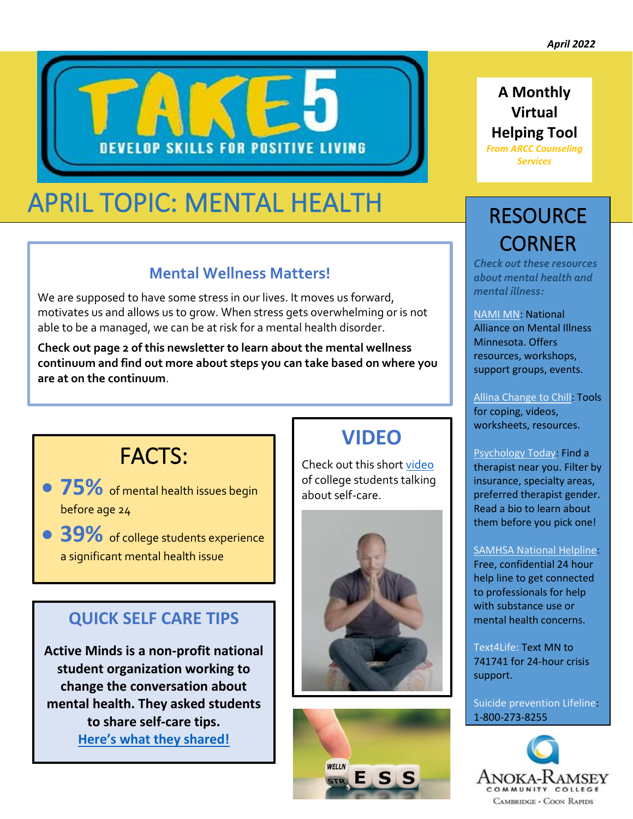

# APRIL TOPIC: MENTAL HEALTH

## **Mental Wellness Matters!**

We are supposed to have some stress in our lives. It moves us forward, motivates us and allows us to grow. When stress gets overwhelming or is not able to be a managed, we can be at risk for a mental health disorder.

**Check out page 2 of this newsletter to learn about the mental wellness continuum and find out more about steps you can take based on where you are at on the continuum**.

## FACTS:

- **75%** of mental health issues begin before age 24
- **39%** of college students experience a significant mental health issue

## **QUICK SELF CARE TIPS**

**Active Minds is a non-profit national student organization working to change the conversation about mental health. They asked students to share self-care tips. [Here's what they shared!](https://www.activeminds.org/blog/stress-less-week-12-ways-to-practice-self-care-during-finals/)**

## **VIDEO**

Check out this shor[t video](https://www.youtube.com/watch?v=Jve2ztIhgL4) of college students talking about self-care.





## **A Monthly Virtual Helping Tool**

*From ARCC Counseling Services* 

# **RESOURCE** CORNER

*Check out these resources about mental health and mental illness:*

[NAMI MN:](https://namimn.org/) National Alliance on Mental Illness Minnesota. Offers resources, workshops, support groups, events.

[Allina Change to Chill:](https://www.changetochill.org/) Tools for coping, videos, worksheets, resources.

#### [Psychology Today:](https://www.psychologytoday.com/us) Find a therapist near you. Filter by insurance, specialty areas, preferred therapist gender. Read a bio to learn about them before you pick one!

### [SAMHSA National Helpline:](https://www.samhsa.gov/find-help/national-helpline)

Free, confidential 24 hour help line to get connected to professionals for help with substance use or mental health concerns.

Text4Life: Text MN to 741741 for 24-hour crisis support.

Suicide prevention Lifeline: 1-800-273-8255